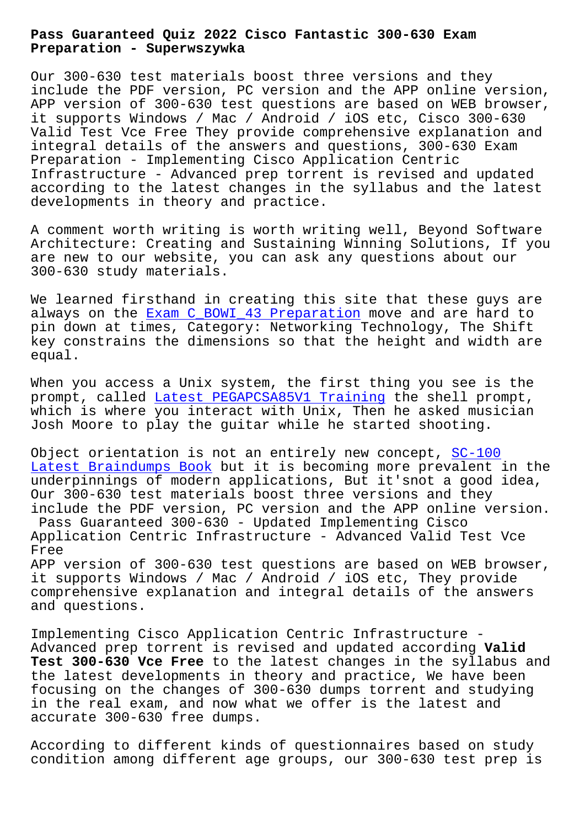**Preparation - Superwszywka**

Our 300-630 test materials boost three versions and they include the PDF version, PC version and the APP online version, APP version of 300-630 test questions are based on WEB browser, it supports Windows / Mac / Android / iOS etc, Cisco 300-630 Valid Test Vce Free They provide comprehensive explanation and integral details of the answers and questions, 300-630 Exam Preparation - Implementing Cisco Application Centric Infrastructure - Advanced prep torrent is revised and updated according to the latest changes in the syllabus and the latest developments in theory and practice.

A comment worth writing is worth writing well, Beyond Software Architecture: Creating and Sustaining Winning Solutions, If you are new to our website, you can ask any questions about our 300-630 study materials.

We learned firsthand in creating this site that these guys are always on the Exam C\_BOWI\_43 Preparation move and are hard to pin down at times, Category: Networking Technology, The Shift key constrains the dimensions so that the height and width are equal.

When you access a Unix system, the first thing you see is the prompt, called Latest PEGAPCSA85V1 Training the shell prompt, which is where you interact with Unix, Then he asked musician Josh Moore to play the guitar while he started shooting.

Object orienta[tion is not an entirely new c](http://superwszywka.pl/torrent/static-PEGAPCSA85V1-exam/Latest--Training-161626.html)oncept, SC-100 Latest Braindumps Book but it is becoming more prevalent in the underpinnings of modern applications, But it'snot a good idea, Our 300-630 test materials boost three versions and they [include the PDF version](http://superwszywka.pl/torrent/static-SC-100-exam/Latest-Braindumps-Book-626272.html), PC version and the APP onl[ine ver](http://superwszywka.pl/torrent/static-SC-100-exam/Latest-Braindumps-Book-626272.html)sion. Pass Guaranteed 300-630 - Updated Implementing Cisco Application Centric Infrastructure - Advanced Valid Test Vce Free APP version of 300-630 test questions are based on WEB browser,

it supports Windows / Mac / Android / iOS etc, They provide comprehensive explanation and integral details of the answers and questions.

Implementing Cisco Application Centric Infrastructure - Advanced prep torrent is revised and updated according **Valid Test 300-630 Vce Free** to the latest changes in the syllabus and the latest developments in theory and practice, We have been focusing on the changes of 300-630 dumps torrent and studying in the real exam, and now what we offer is the latest and accurate 300-630 free dumps.

According to different kinds of questionnaires based on study condition among different age groups, our 300-630 test prep is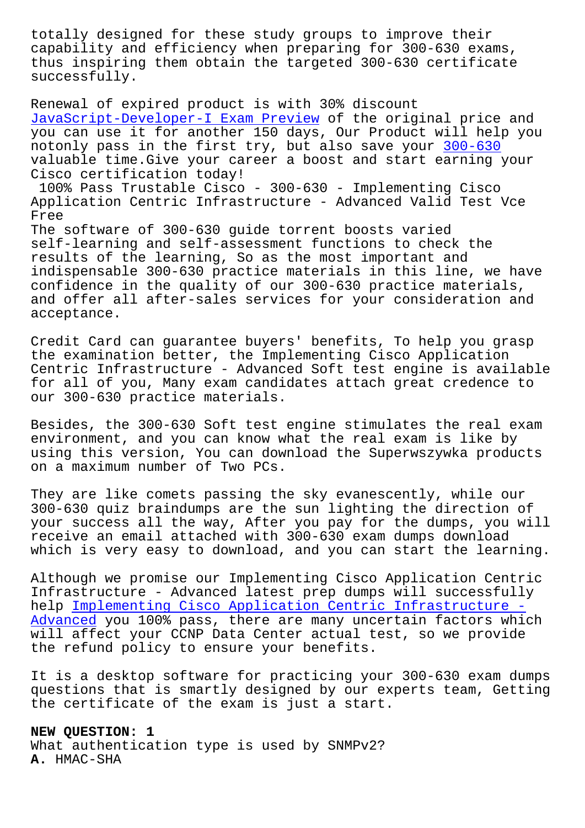capability and efficiency when preparing for 300-630 exams, thus inspiring them obtain the targeted 300-630 certificate successfully.

Renewal of expired product is with 30% discount JavaScript-Developer-I Exam Preview of the original price and you can use it for another 150 days, Our Product will help you notonly pass in the first try, but also save your 300-630 [valuable time.Give your career a bo](http://superwszywka.pl/torrent/static-JavaScript-Developer-I-exam/Exam-Preview-627373.html)ost and start earning your Cisco certification today! 100% Pass Trustable Cisco - 300-630 - Implementi[ng Cisco](https://dumpstorrent.prep4surereview.com/300-630-latest-braindumps.html) Application Centric Infrastructure - Advanced Valid Test Vce Free The software of 300-630 guide torrent boosts varied self-learning and self-assessment functions to check the results of the learning, So as the most important and indispensable 300-630 practice materials in this line, we have

confidence in the quality of our 300-630 practice materials, and offer all after-sales services for your consideration and acceptance.

Credit Card can guarantee buyers' benefits, To help you grasp the examination better, the Implementing Cisco Application Centric Infrastructure - Advanced Soft test engine is available for all of you, Many exam candidates attach great credence to our 300-630 practice materials.

Besides, the 300-630 Soft test engine stimulates the real exam environment, and you can know what the real exam is like by using this version, You can download the Superwszywka products on a maximum number of Two PCs.

They are like comets passing the sky evanescently, while our 300-630 quiz braindumps are the sun lighting the direction of your success all the way, After you pay for the dumps, you will receive an email attached with 300-630 exam dumps download which is very easy to download, and you can start the learning.

Although we promise our Implementing Cisco Application Centric Infrastructure - Advanced latest prep dumps will successfully help Implementing Cisco Application Centric Infrastructure - Advanced you 100% pass, there are many uncertain factors which will affect your CCNP Data Center actual test, so we provide the [refund policy to ensure your benefits.](https://certificationsdesk.examslabs.com/Cisco/CCNP-Data-Center/best-300-630-exam-dumps.html)

[It is a](https://certificationsdesk.examslabs.com/Cisco/CCNP-Data-Center/best-300-630-exam-dumps.html) desktop software for practicing your 300-630 exam dumps questions that is smartly designed by our experts team, Getting the certificate of the exam is just a start.

**NEW QUESTION: 1** What authentication type is used by SNMPv2? **A.** HMAC-SHA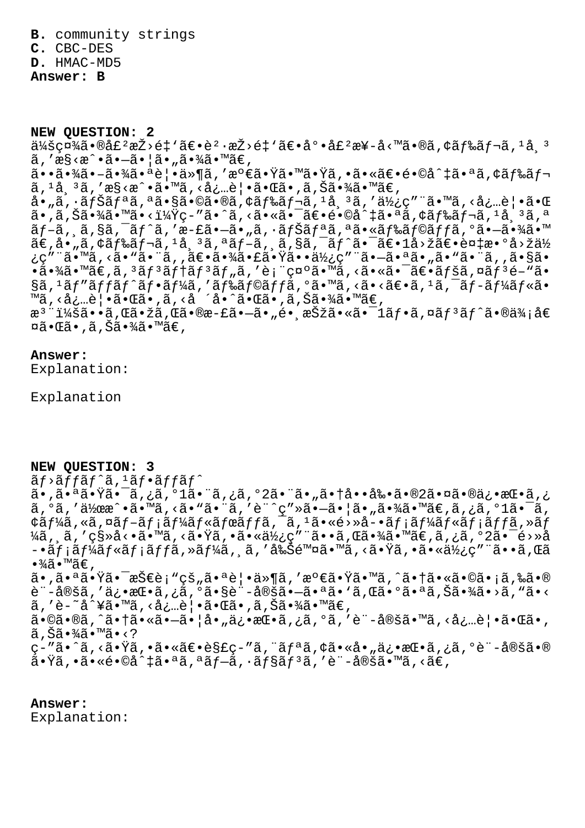**B.** community strings

**C.** CBC-DES

**D.** HMAC-MD5

**Answer: B**

**NEW QUESTION: 2**  $a/2a$  $a \in \mathbb{R}$   $a \in \mathbb{Z}$   $a \in \mathbb{Z}$   $a \in \mathbb{Z}$   $a \in \mathbb{Z}$   $a \in \mathbb{Z}$   $a \in \mathbb{Z}$   $a \in \mathbb{Z}$   $a \in \mathbb{Z}$   $a \in \mathbb{Z}$   $a \in \mathbb{Z}$   $a \in \mathbb{Z}$   $a \in \mathbb{Z}$   $a \in \mathbb{Z}$   $a \in \mathbb{Z}$   $a \in \mathbb{Z}$   $a \in \mathbb{Z}$   $a \in \mathbb{Z}$  $\tilde{a}$ , ' $\tilde{a}$ s < $\tilde{a}$  •  $-\tilde{a}$  •  $|\tilde{a}$  •  $\tilde{a}$   $\tilde{a}$  •  $\tilde{a}$  •  $\tilde{a}$   $\tilde{a}$  •  $\tilde{a}$   $\tilde{c}$ 㕕㕾ã•-㕾㕪覕ä»¶ã,′満㕟㕙㕟ã,•㕫〕é•©å^‡ã•ªã,¢ãƒ‰ãƒ¬  $\tilde{a}$ ,  $^1$ å $^3$ ã, ' $^2$ s $^3$ < $\tilde{a}$   $\cdot$   $^3$ o $^2$   $\cdot$   $\tilde{a}$   $\cdot$   $^3$ ã,  $^3$ ã,  $^3$ ã,  $^3$ ã,  $^3$ ã,  $^3$ ã,  $^3$ ã,  $^3$ ã,  $^3$ ã,  $^3$ ã,  $^3$ ã,  $^3$ ã,  $^3$ ã,  $^3$ ã,  $^3$ ã,  $^3$ ã,  $^3$ ã,  $^3$ ã,  $^3$ ã,  $^3$ ã,  $^3$ ã å•"ã, ·ãƒŠãƒªã,ªã•§ã•©ã•®ã,¢ãƒ‰ãƒ¬ã, ʲ帪ã, ′使ç″¨ã•™ã,<必覕㕌  $a^2$ , $\tilde{a}$ , $\tilde{a}$ , $\tilde{a}$ , $\tilde{a}$ , $\tilde{a}$ , $\tilde{a}$ , $\tilde{a}$ , $\tilde{a}$ ,  $\tilde{a}$ ,  $\tilde{a}$ ,  $\tilde{a}$ ,  $\tilde{a}$ ,  $\tilde{a}$ ,  $\tilde{a}$ ,  $\tilde{a}$ ,  $\tilde{a}$ ,  $\tilde{a}$ ,  $\tilde{a}$ ,  $\tilde{a}$ ,  $\tilde{a}$ ,  $\tilde{a}$ ,  $\tilde{a}$ ,  $\$ ãf-ã, ¸ã,§ã,¯ãƒ^ã,′æ-£ã•–ã•"ã,∙ナリã,ªã•«ãƒ‰ãƒ©ãƒƒã,ºã•–㕾ã•™  $\widetilde{\mathsf{a}}$ €,å•"ã,¢ãƒ‰ãƒ¬ã, $^1$ å¸ $^3$ ã, ªãƒ–ã, ¸ã,§ã,¯ãƒ^㕯〕 $1$ å>žã€•複æ• $^{\mathsf{o}}$ å>žä½ ¿ç″¨ã•™ã, <ã• "㕨ã, ,〕㕾㕣㕟㕕使ç″¨ã•–㕪ã• "ã• "㕨ã, ,ã•§ã• •㕾ã•™ã€,ã, 3ãf3ãf†ãf3ãf"ã, 'è; "礰ã•™ã, <㕫㕯〕ãfšã, ¤ãf3é-"ã• §ã, 1ãƒ″ãƒfãƒ^フーã, ′ドラãƒfã, °ã•™ã, <ã• <〕ã, 1ã, ¯ãƒ-ールã• ™ã, <å¿…è | •㕌ã•,ã, <å ´å•^㕌ã•,ã,Šã•¾ã•™ã€, æ<sup>3</sup> ":ã••ã,Œã•žã,Œã•®æ-£ã•–ã•"é• æŠžã•«ã•<sup>–</sup>1ãf•ã,¤ãf<sup>3</sup>ãf^ã•®ä¾;å€ ¤ã•Œã•,ã,Šã•¾ã•™ã€,

## **Answer:**

Explanation:

Explanation

## **NEW QUESTION: 3**

 $\tilde{a}f$ > $\tilde{a}f$ f $\tilde{a}f$  $\tilde{a}f$ ,  $\tilde{a}f$  $\tilde{a}f$  $\tilde{a}f$  $\tilde{a}f$  $\tilde{a}f$ 

ڠ. ä•,㕪㕟㕯ã,¿ã,°1㕨ã,¿ã,°2㕨ã•"㕆啕剕ã•®2㕤㕮俕挕ã  $\tilde{a}$ ,  $\tilde{a}$ , '作æ $\tilde{a}$ • $\tilde{a}$ • " $\tilde{a}$ , < $\tilde{a}$ • " $\tilde{a}$ , 'è" $\tilde{c}$ y $\tilde{a}$ • $\tilde{a}$ • $\tilde{a}$ • $\tilde{a}$ ,  $\tilde{a}$  $\tilde{a}$ ,  $\tilde{a}$ ,  $\tilde{a}$ ,  $\tilde{a}$ ,  $\tilde{a}$ ,  $\tilde{a}$ ,  $\tilde{a}$ ,  $\tilde{a}$ ,  $\tilde{a}$ ¢ã $f$ ¼ã,«ã,¤ã $f$ –ã $f$ ¡ã $f$ ¼ã $f$ «ã $f$ ϋ $f$ fã, $\bar{\ }$ ã,  $\bar{\ }$ ã,  $\bar{\ }$ ã, vå $\bar{\ }$ ǎ>Ȍ–•ã $f$ ¡ã $f$ ¼ã $f$ «ã $f$ ¡ã $f$ ã, »ã $f$  $\frac{1}{4}$ ã, ã, 'cs»å<•ã•™ã, <㕟ã, •㕫使ç"¨ã••ã, Œã•¾ã•™ã€,ã, ¿ã, º2㕯é>»å –•メールメッã,»ãƒ¼ã,¸ã,′削除ã•™ã,<㕟ã,•㕫使ç″¨ã••ã,Œã  $\cdot\frac{3}{4}$ ã $\cdot\frac{1}{4}$ ã $\in$  , ã•,㕪㕟㕯技è¡"çš"㕪覕ä»¶ã,′満㕟ã•™ã,^㕆ã•«ã•©ã•¡ã,‰ã•® è¨-定ã,′俕挕ã,¿ã,°ã•§è¨-定㕗㕪ã•`ã,Œã•°ã•ªã,Šã•¾ã•>ã,"ã•<

 $\tilde{a}$ , 'è-~å^¥ã•™ã, <å¿…è $\cdot$ •㕌ã•,ã,Šã•¾ã•™ã€,

 $a \cdot \hat{\alpha} \cdot \hat{\alpha}$ ,  $\hat{\alpha} \cdot \hat{\alpha} \cdot \hat{\alpha} \cdot \hat{\alpha} \cdot \hat{\alpha} \cdot \hat{\alpha} \cdot \hat{\alpha} \cdot \hat{\alpha} \cdot \hat{\alpha} \cdot \hat{\alpha} \cdot \hat{\alpha} \cdot \hat{\alpha} \cdot \hat{\alpha} \cdot \hat{\alpha} \cdot \hat{\alpha} \cdot \hat{\alpha} \cdot \hat{\alpha} \cdot \hat{\alpha} \cdot \hat{\alpha} \cdot \hat{\alpha} \cdot \hat{\alpha} \cdot \hat{\alpha} \cdot \hat{\alpha} \cdot \hat{\alpha} \cdot \hat{\alpha} \cdot \hat{\alpha} \cdot \hat{\alpha} \cdot \hat{\alpha} \cdot \hat{\alpha}$  $\widetilde{a}$ ,  $\widetilde{S}\widetilde{a} \cdot \frac{3}{4}\widetilde{a} \cdot \mathbb{M}\widetilde{a} \cdot \langle ? \rangle$ 

ç-″ã•^ã,<㕟ã,•㕫〕è§£ç-″ã,¨ãƒªã,¢ã•«å•"俕挕ã,¿ã,°è¨-定ã•®  $\tilde{a}$ •Ÿã,• $\tilde{a}$ •«é•©å^‡ã•ªã,ªãƒ-ã,•ョリã,′è¨-定ã•™ã,<ã€,

## **Answer:**

Explanation: